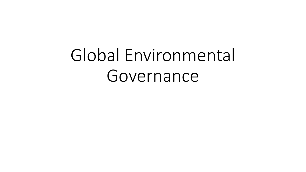## Global Environmental Governance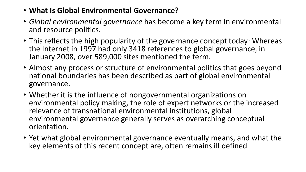- **What Is Global Environmental Governance?**
- *Global environmental governance* has become a key term in environmental and resource politics.
- This reflects the high popularity of the governance concept today: Whereas the Internet in 1997 had only 3418 references to global governance, in January 2008, over 589,000 sites mentioned the term.
- Almost any process or structure of environmental politics that goes beyond national boundaries has been described as part of global environmental governance.
- Whether it is the influence of nongovernmental organizations on environmental policy making, the role of expert networks or the increased relevance of transnational environmental institutions, global environmental governance generally serves as overarching conceptual orientation.
- Yet what global environmental governance eventually means, and what the key elements of this recent concept are, often remains ill defined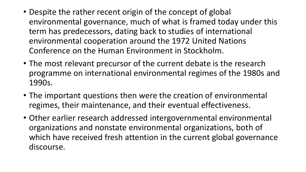- Despite the rather recent origin of the concept of global environmental governance, much of what is framed today under this term has predecessors, dating back to studies of international environmental cooperation around the 1972 United Nations Conference on the Human Environment in Stockholm.
- The most relevant precursor of the current debate is the research programme on international environmental regimes of the 1980s and 1990s.
- The important questions then were the creation of environmental regimes, their maintenance, and their eventual effectiveness.
- Other earlier research addressed intergovernmental environmental organizations and nonstate environmental organizations, both of which have received fresh attention in the current global governance discourse.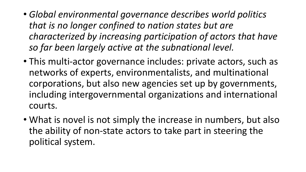- *Global environmental governance describes world politics that is no longer confined to nation states but are characterized by increasing participation of actors that have so far been largely active at the subnational level.*
- This multi-actor governance includes: private actors, such as networks of experts, environmentalists, and multinational corporations, but also new agencies set up by governments, including intergovernmental organizations and international courts.
- What is novel is not simply the increase in numbers, but also the ability of non-state actors to take part in steering the political system.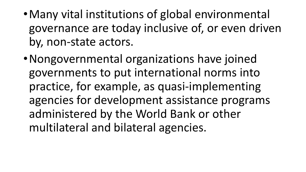- •Many vital institutions of global environmental governance are today inclusive of, or even driven by, non-state actors.
- •Nongovernmental organizations have joined governments to put international norms into practice, for example, as quasi-implementing agencies for development assistance programs administered by the World Bank or other multilateral and bilateral agencies.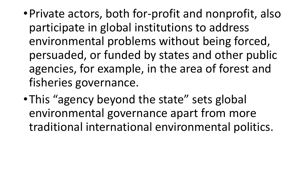- •Private actors, both for-profit and nonprofit, also participate in global institutions to address environmental problems without being forced, persuaded, or funded by states and other public agencies, for example, in the area of forest and fisheries governance.
- This "agency beyond the state" sets global environmental governance apart from more traditional international environmental politics.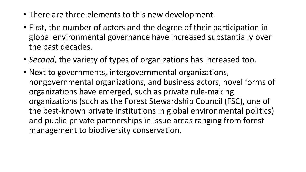- There are three elements to this new development.
- First, the number of actors and the degree of their participation in global environmental governance have increased substantially over the past decades.
- *Second*, the variety of types of organizations has increased too.
- Next to governments, intergovernmental organizations, nongovernmental organizations, and business actors, novel forms of organizations have emerged, such as private rule-making organizations (such as the Forest Stewardship Council (FSC), one of the best-known private institutions in global environmental politics) and public-private partnerships in issue areas ranging from forest management to biodiversity conservation.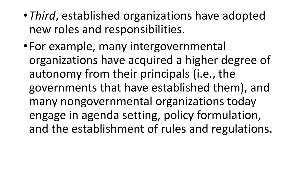- •*Third*, established organizations have adopted new roles and responsibilities.
- •For example, many intergovernmental organizations have acquired a higher degree of autonomy from their principals (i.e., the governments that have established them), and many nongovernmental organizations today engage in agenda setting, policy formulation, and the establishment of rules and regulations.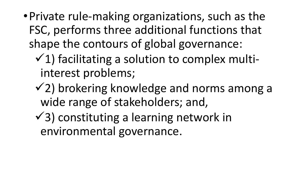- •Private rule-making organizations, such as the FSC, performs three additional functions that shape the contours of global governance:
	- $(1)$  facilitating a solution to complex multiinterest problems;
	- $(2)$  brokering knowledge and norms among a wide range of stakeholders; and,
	- $\checkmark$ 3) constituting a learning network in environmental governance.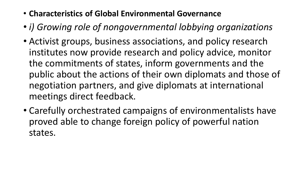- **Characteristics of Global Environmental Governance**
- *i) Growing role of nongovernmental lobbying organizations*
- Activist groups, business associations, and policy research institutes now provide research and policy advice, monitor the commitments of states, inform governments and the public about the actions of their own diplomats and those of negotiation partners, and give diplomats at international meetings direct feedback.
- Carefully orchestrated campaigns of environmentalists have proved able to change foreign policy of powerful nation states.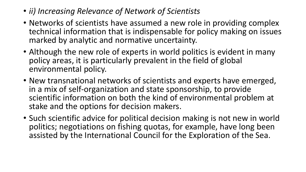- *ii) Increasing Relevance of Network of Scientists*
- Networks of scientists have assumed a new role in providing complex technical information that is indispensable for policy making on issues marked by analytic and normative uncertainty.
- Although the new role of experts in world politics is evident in many policy areas, it is particularly prevalent in the field of global environmental policy.
- New transnational networks of scientists and experts have emerged, in a mix of self-organization and state sponsorship, to provide scientific information on both the kind of environmental problem at stake and the options for decision makers.
- Such scientific advice for political decision making is not new in world politics; negotiations on fishing quotas, for example, have long been assisted by the International Council for the Exploration of the Sea.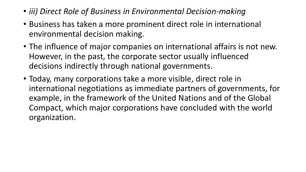- *iii) Direct Role of Business in Environmental Decision-making*
- Business has taken a more prominent direct role in international environmental decision making.
- The influence of major companies on international affairs is not new. However, in the past, the corporate sector usually influenced decisions indirectly through national governments.
- Today, many corporations take a more visible, direct role in international negotiations as immediate partners of governments, for example, in the framework of the United Nations and of the Global Compact, which major corporations have concluded with the world organization.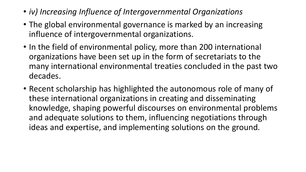- *iv) Increasing Influence of Intergovernmental Organizations*
- The global environmental governance is marked by an increasing influence of intergovernmental organizations.
- In the field of environmental policy, more than 200 international organizations have been set up in the form of secretariats to the many international environmental treaties concluded in the past two decades.
- Recent scholarship has highlighted the autonomous role of many of these international organizations in creating and disseminating knowledge, shaping powerful discourses on environmental problems and adequate solutions to them, influencing negotiations through ideas and expertise, and implementing solutions on the ground.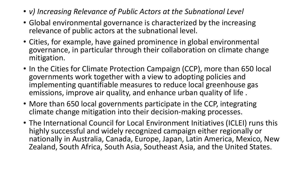- *v) Increasing Relevance of Public Actors at the Subnational Level*
- Global environmental governance is characterized by the increasing relevance of public actors at the subnational level.
- Cities, for example, have gained prominence in global environmental governance, in particular through their collaboration on climate change mitigation.
- In the Cities for Climate Protection Campaign (CCP), more than 650 local governments work together with a view to adopting policies and implementing quantifiable measures to reduce local greenhouse gas emissions, improve air quality, and enhance urban quality of life .
- More than 650 local governments participate in the CCP, integrating climate change mitigation into their decision-making processes.
- The International Council for Local Environment Initiatives (ICLEI) runs this highly successful and widely recognized campaign either regionally or nationally in Australia, Canada, Europe, Japan, Latin America, Mexico, New Zealand, South Africa, South Asia, Southeast Asia, and the United States.